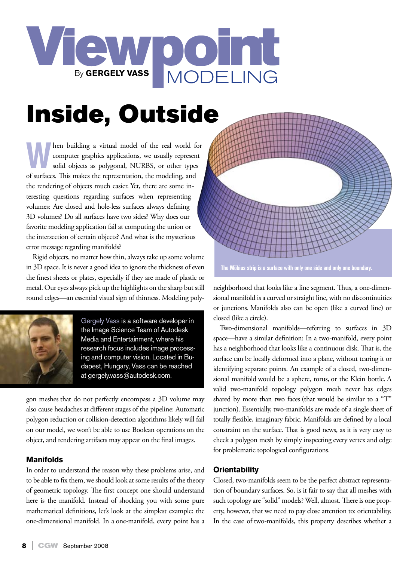

## Inside, Outside

**When building a virtual model of the real world for** computer graphics applications, we usually represent solid objects as polygonal, NURBS, or other types of surfaces. This makes the representation the modeling and computer graphics applications, we usually represent of surfaces. This makes the representation, the modeling, and the rendering of objects much easier. Yet, there are some interesting questions regarding surfaces when representing volumes: Are closed and hole-less surfaces always defining 3D volumes? Do all surfaces have two sides? Why does our favorite modeling application fail at computing the union or the intersection of certain objects? And what is the mysterious error message regarding manifolds?

Rigid objects, no matter how thin, always take up some volume in 3D space. It is never a good idea to ignore the thickness of even the finest sheets or plates, especially if they are made of plastic or metal. Our eyes always pick up the highlights on the sharp but still round edges—an essential visual sign of thinness. Modeling poly-



Gergely Vass is a software developer in the Image Science Team of Autodesk Media and Entertainment, where his research focus includes image processing and computer vision. Located in Budapest, Hungary, Vass can be reached at gergely.vass@autodesk.com.

gon meshes that do not perfectly encompass a 3D volume may also cause headaches at different stages of the pipeline: Automatic polygon reduction or collision-detection algorithms likely will fail on our model, we won't be able to use Boolean operations on the object, and rendering artifacts may appear on the final images.

## **Manifolds**

In order to understand the reason why these problems arise, and to be able to fix them, we should look at some results of the theory of geometric topology. The first concept one should understand here is the manifold. Instead of shocking you with some pure mathematical definitions, let's look at the simplest example: the one-dimensional manifold. In a one-manifold, every point has a



**The Möbius strip is a surface with only one side and only one boundary.** 

neighborhood that looks like a line segment. Thus, a one-dimensional manifold is a curved or straight line, with no discontinuities or junctions. Manifolds also can be open (like a curved line) or closed (like a circle).

Two-dimensional manifolds—referring to surfaces in 3D space—have a similar definition: In a two-manifold, every point has a neighborhood that looks like a continuous disk. That is, the surface can be locally deformed into a plane, without tearing it or identifying separate points. An example of a closed, two-dimensional manifold would be a sphere, torus, or the Klein bottle. A valid two-manifold topology polygon mesh never has edges shared by more than two faces (that would be similar to a "T" junction). Essentially, two-manifolds are made of a single sheet of totally flexible, imaginary fabric. Manifolds are defined by a local constraint on the surface. That is good news, as it is very easy to check a polygon mesh by simply inspecting every vertex and edge for problematic topological configurations.

## **Orientability**

Closed, two-manifolds seem to be the perfect abstract representation of boundary surfaces. So, is it fair to say that all meshes with such topology are "solid" models? Well, almost. There is one property, however, that we need to pay close attention to: orientability. In the case of two-manifolds, this property describes whether a